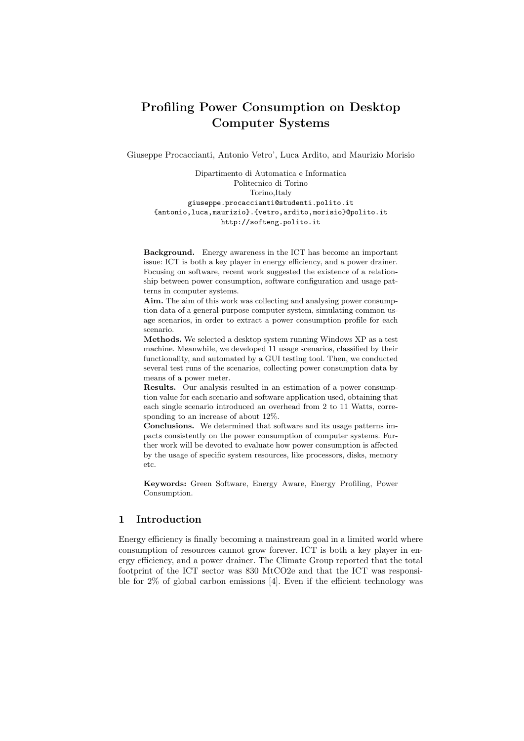Giuseppe Procaccianti, Antonio Vetro', Luca Ardito, and Maurizio Morisio

Dipartimento di Automatica e Informatica Politecnico di Torino Torino,Italy giuseppe.procaccianti@studenti.polito.it {antonio,luca,maurizio}.{vetro,ardito,morisio}@polito.it <http://softeng.polito.it>

Background. Energy awareness in the ICT has become an important issue: ICT is both a key player in energy efficiency, and a power drainer. Focusing on software, recent work suggested the existence of a relationship between power consumption, software configuration and usage patterns in computer systems.

Aim. The aim of this work was collecting and analysing power consumption data of a general-purpose computer system, simulating common usage scenarios, in order to extract a power consumption profile for each scenario.

Methods. We selected a desktop system running Windows XP as a test machine. Meanwhile, we developed 11 usage scenarios, classified by their functionality, and automated by a GUI testing tool. Then, we conducted several test runs of the scenarios, collecting power consumption data by means of a power meter.

Results. Our analysis resulted in an estimation of a power consumption value for each scenario and software application used, obtaining that each single scenario introduced an overhead from 2 to 11 Watts, corresponding to an increase of about 12%.

Conclusions. We determined that software and its usage patterns impacts consistently on the power consumption of computer systems. Further work will be devoted to evaluate how power consumption is affected by the usage of specific system resources, like processors, disks, memory etc.

Keywords: Green Software, Energy Aware, Energy Profiling, Power Consumption.

# 1 Introduction

Energy efficiency is finally becoming a mainstream goal in a limited world where consumption of resources cannot grow forever. ICT is both a key player in energy efficiency, and a power drainer. The Climate Group reported that the total footprint of the ICT sector was 830 MtCO2e and that the ICT was responsible for 2% of global carbon emissions [\[4\]](#page-14-0). Even if the efficient technology was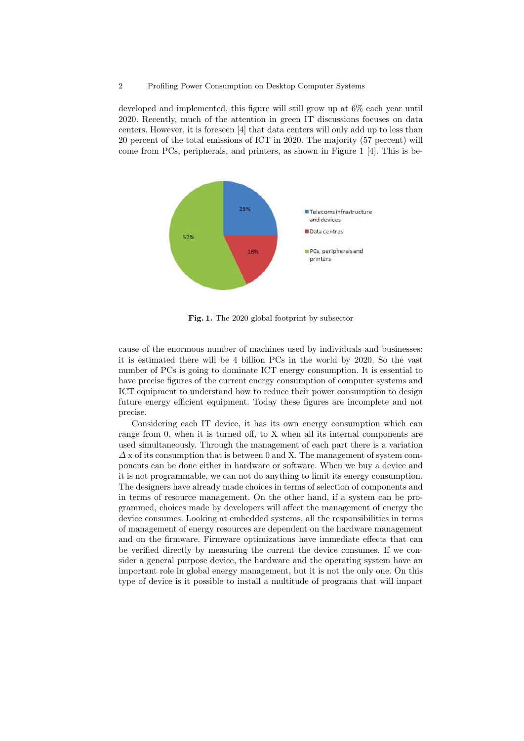developed and implemented, this figure will still grow up at 6% each year until 2020. Recently, much of the attention in green IT discussions focuses on data centers. However, it is foreseen [\[4\]](#page-14-0) that data centers will only add up to less than 20 percent of the total emissions of ICT in 2020. The majority (57 percent) will come from PCs, peripherals, and printers, as shown in Figure [1](#page-1-0) [\[4\]](#page-14-0). This is be-



<span id="page-1-0"></span>Fig. 1. The 2020 global footprint by subsector

cause of the enormous number of machines used by individuals and businesses: it is estimated there will be 4 billion PCs in the world by 2020. So the vast number of PCs is going to dominate ICT energy consumption. It is essential to have precise figures of the current energy consumption of computer systems and ICT equipment to understand how to reduce their power consumption to design future energy efficient equipment. Today these figures are incomplete and not precise.

Considering each IT device, it has its own energy consumption which can range from 0, when it is turned off, to X when all its internal components are used simultaneously. Through the management of each part there is a variation  $\Delta$  x of its consumption that is between 0 and X. The management of system components can be done either in hardware or software. When we buy a device and it is not programmable, we can not do anything to limit its energy consumption. The designers have already made choices in terms of selection of components and in terms of resource management. On the other hand, if a system can be programmed, choices made by developers will affect the management of energy the device consumes. Looking at embedded systems, all the responsibilities in terms of management of energy resources are dependent on the hardware management and on the firmware. Firmware optimizations have immediate effects that can be verified directly by measuring the current the device consumes. If we consider a general purpose device, the hardware and the operating system have an important role in global energy management, but it is not the only one. On this type of device is it possible to install a multitude of programs that will impact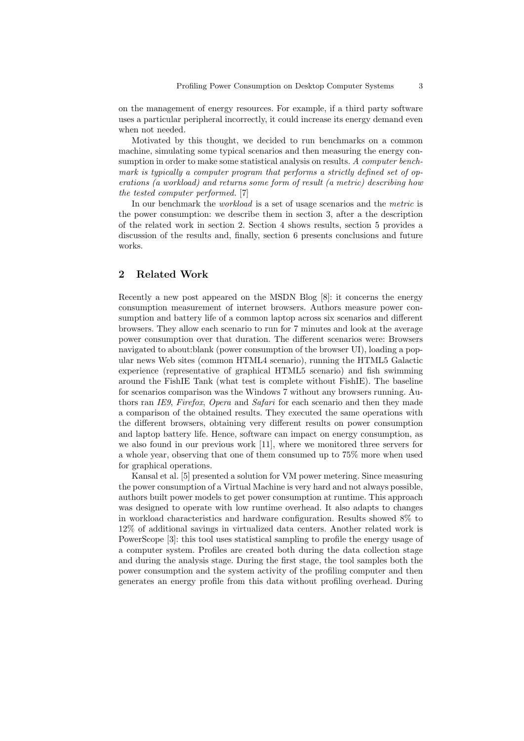on the management of energy resources. For example, if a third party software uses a particular peripheral incorrectly, it could increase its energy demand even when not needed.

Motivated by this thought, we decided to run benchmarks on a common machine, simulating some typical scenarios and then measuring the energy consumption in order to make some statistical analysis on results. A computer benchmark is typically a computer program that performs a strictly defined set of operations (a workload) and returns some form of result (a metric) describing how the tested computer performed. [\[7\]](#page-14-1)

In our benchmark the *workload* is a set of usage scenarios and the *metric* is the power consumption: we describe them in section 3, after a the description of the related work in section 2. Section 4 shows results, section 5 provides a discussion of the results and, finally, section 6 presents conclusions and future works.

# 2 Related Work

Recently a new post appeared on the MSDN Blog [\[8\]](#page-14-2): it concerns the energy consumption measurement of internet browsers. Authors measure power consumption and battery life of a common laptop across six scenarios and different browsers. They allow each scenario to run for 7 minutes and look at the average power consumption over that duration. The different scenarios were: Browsers navigated to about:blank (power consumption of the browser UI), loading a popular news Web sites (common HTML4 scenario), running the HTML5 Galactic experience (representative of graphical HTML5 scenario) and fish swimming around the FishIE Tank (what test is complete without FishIE). The baseline for scenarios comparison was the Windows 7 without any browsers running. Authors ran IE9, Firefox, Opera and Safari for each scenario and then they made a comparison of the obtained results. They executed the same operations with the different browsers, obtaining very different results on power consumption and laptop battery life. Hence, software can impact on energy consumption, as we also found in our previous work [\[11\]](#page-14-3), where we monitored three servers for a whole year, observing that one of them consumed up to 75% more when used for graphical operations.

Kansal et al. [\[5\]](#page-14-4) presented a solution for VM power metering. Since measuring the power consumption of a Virtual Machine is very hard and not always possible, authors built power models to get power consumption at runtime. This approach was designed to operate with low runtime overhead. It also adapts to changes in workload characteristics and hardware configuration. Results showed 8% to 12% of additional savings in virtualized data centers. Another related work is PowerScope [\[3\]](#page-14-5): this tool uses statistical sampling to profile the energy usage of a computer system. Profiles are created both during the data collection stage and during the analysis stage. During the first stage, the tool samples both the power consumption and the system activity of the profiling computer and then generates an energy profile from this data without profiling overhead. During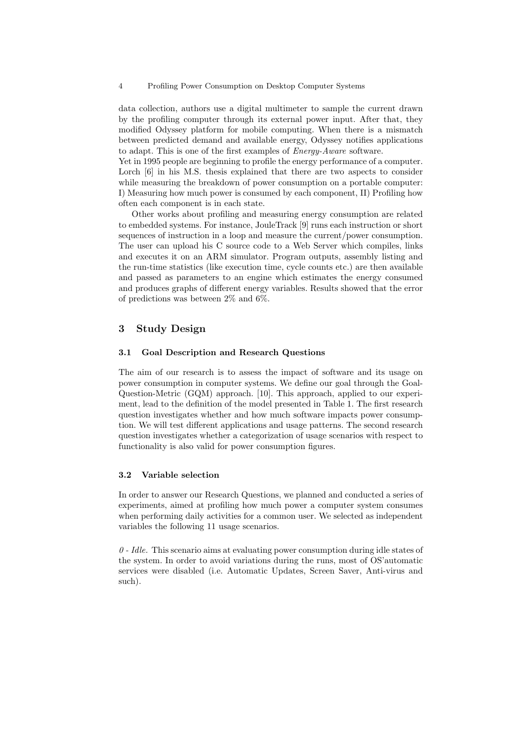data collection, authors use a digital multimeter to sample the current drawn by the profiling computer through its external power input. After that, they modified Odyssey platform for mobile computing. When there is a mismatch between predicted demand and available energy, Odyssey notifies applications to adapt. This is one of the first examples of Energy-Aware software.

Yet in 1995 people are beginning to profile the energy performance of a computer. Lorch [\[6\]](#page-14-6) in his M.S. thesis explained that there are two aspects to consider while measuring the breakdown of power consumption on a portable computer: I) Measuring how much power is consumed by each component, II) Profiling how often each component is in each state.

Other works about profiling and measuring energy consumption are related to embedded systems. For instance, JouleTrack [\[9\]](#page-14-7) runs each instruction or short sequences of instruction in a loop and measure the current/power consumption. The user can upload his C source code to a Web Server which compiles, links and executes it on an ARM simulator. Program outputs, assembly listing and the run-time statistics (like execution time, cycle counts etc.) are then available and passed as parameters to an engine which estimates the energy consumed and produces graphs of different energy variables. Results showed that the error of predictions was between 2% and 6%.

### 3 Study Design

#### 3.1 Goal Description and Research Questions

The aim of our research is to assess the impact of software and its usage on power consumption in computer systems. We define our goal through the Goal-Question-Metric (GQM) approach. [\[10\]](#page-14-8). This approach, applied to our experiment, lead to the definition of the model presented in Table [1.](#page-4-0) The first research question investigates whether and how much software impacts power consumption. We will test different applications and usage patterns. The second research question investigates whether a categorization of usage scenarios with respect to functionality is also valid for power consumption figures.

#### 3.2 Variable selection

In order to answer our Research Questions, we planned and conducted a series of experiments, aimed at profiling how much power a computer system consumes when performing daily activities for a common user. We selected as independent variables the following 11 usage scenarios.

 $\theta$  - Idle. This scenario aims at evaluating power consumption during idle states of the system. In order to avoid variations during the runs, most of OS'automatic services were disabled (i.e. Automatic Updates, Screen Saver, Anti-virus and such).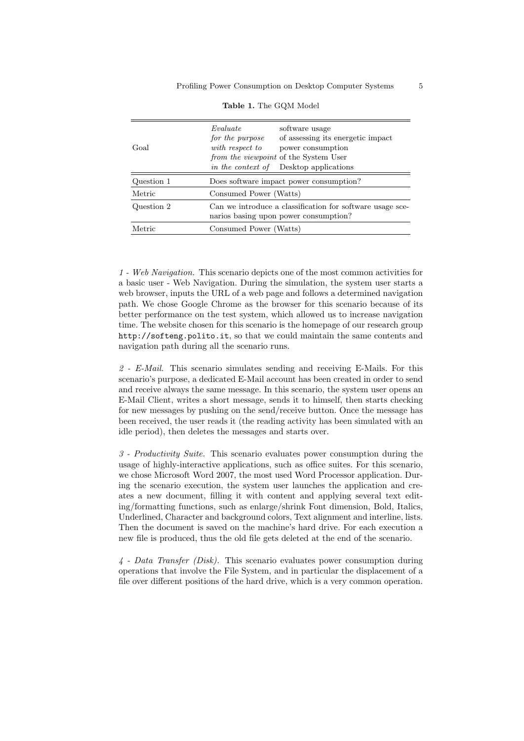| Goal       | Evaluate<br>software usage<br>of assessing its energetic impact.<br>for the purpose<br>with respect to<br>power consumption<br>from the viewpoint of the System User<br>in the context of Desktop applications |  |  |  |  |
|------------|----------------------------------------------------------------------------------------------------------------------------------------------------------------------------------------------------------------|--|--|--|--|
| Question 1 | Does software impact power consumption?                                                                                                                                                                        |  |  |  |  |
| Metric     | Consumed Power (Watts)                                                                                                                                                                                         |  |  |  |  |
| Question 2 | Can we introduce a classification for software usage sce-<br>narios basing upon power consumption?                                                                                                             |  |  |  |  |
| Metric     | Consumed Power (Watts)                                                                                                                                                                                         |  |  |  |  |
|            |                                                                                                                                                                                                                |  |  |  |  |

<span id="page-4-0"></span>Table 1. The GQM Model

1 - Web Navigation. This scenario depicts one of the most common activities for a basic user - Web Navigation. During the simulation, the system user starts a web browser, inputs the URL of a web page and follows a determined navigation path. We chose Google Chrome as the browser for this scenario because of its better performance on the test system, which allowed us to increase navigation time. The website chosen for this scenario is the homepage of our research group <http://softeng.polito.it>, so that we could maintain the same contents and navigation path during all the scenario runs.

2 - E-Mail. This scenario simulates sending and receiving E-Mails. For this scenario's purpose, a dedicated E-Mail account has been created in order to send and receive always the same message. In this scenario, the system user opens an E-Mail Client, writes a short message, sends it to himself, then starts checking for new messages by pushing on the send/receive button. Once the message has been received, the user reads it (the reading activity has been simulated with an idle period), then deletes the messages and starts over.

3 - Productivity Suite. This scenario evaluates power consumption during the usage of highly-interactive applications, such as office suites. For this scenario, we chose Microsoft Word 2007, the most used Word Processor application. During the scenario execution, the system user launches the application and creates a new document, filling it with content and applying several text editing/formatting functions, such as enlarge/shrink Font dimension, Bold, Italics, Underlined, Character and background colors, Text alignment and interline, lists. Then the document is saved on the machine's hard drive. For each execution a new file is produced, thus the old file gets deleted at the end of the scenario.

4 - Data Transfer (Disk). This scenario evaluates power consumption during operations that involve the File System, and in particular the displacement of a file over different positions of the hard drive, which is a very common operation.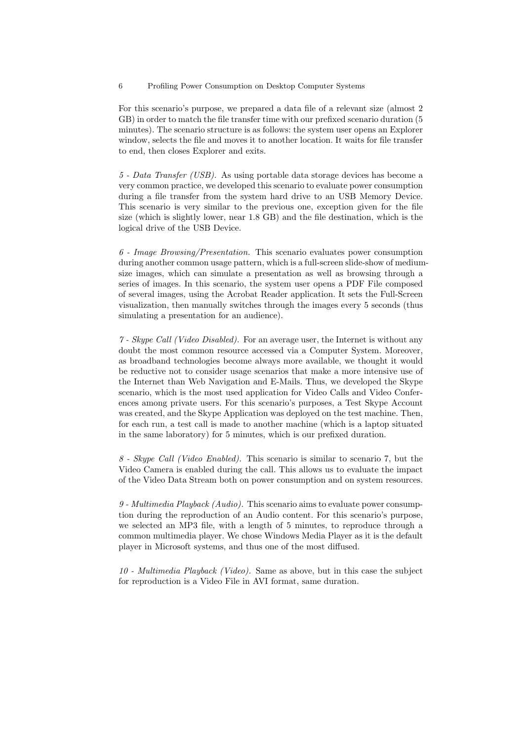For this scenario's purpose, we prepared a data file of a relevant size (almost 2 GB) in order to match the file transfer time with our prefixed scenario duration (5) minutes). The scenario structure is as follows: the system user opens an Explorer window, selects the file and moves it to another location. It waits for file transfer to end, then closes Explorer and exits.

5 - Data Transfer (USB). As using portable data storage devices has become a very common practice, we developed this scenario to evaluate power consumption during a file transfer from the system hard drive to an USB Memory Device. This scenario is very similar to the previous one, exception given for the file size (which is slightly lower, near 1.8 GB) and the file destination, which is the logical drive of the USB Device.

6 - Image Browsing/Presentation. This scenario evaluates power consumption during another common usage pattern, which is a full-screen slide-show of mediumsize images, which can simulate a presentation as well as browsing through a series of images. In this scenario, the system user opens a PDF File composed of several images, using the Acrobat Reader application. It sets the Full-Screen visualization, then manually switches through the images every 5 seconds (thus simulating a presentation for an audience).

7 - Skype Call (Video Disabled). For an average user, the Internet is without any doubt the most common resource accessed via a Computer System. Moreover, as broadband technologies become always more available, we thought it would be reductive not to consider usage scenarios that make a more intensive use of the Internet than Web Navigation and E-Mails. Thus, we developed the Skype scenario, which is the most used application for Video Calls and Video Conferences among private users. For this scenario's purposes, a Test Skype Account was created, and the Skype Application was deployed on the test machine. Then, for each run, a test call is made to another machine (which is a laptop situated in the same laboratory) for 5 minutes, which is our prefixed duration.

8 - Skype Call (Video Enabled). This scenario is similar to scenario 7, but the Video Camera is enabled during the call. This allows us to evaluate the impact of the Video Data Stream both on power consumption and on system resources.

9 - Multimedia Playback (Audio). This scenario aims to evaluate power consumption during the reproduction of an Audio content. For this scenario's purpose, we selected an MP3 file, with a length of 5 minutes, to reproduce through a common multimedia player. We chose Windows Media Player as it is the default player in Microsoft systems, and thus one of the most diffused.

10 - Multimedia Playback (Video). Same as above, but in this case the subject for reproduction is a Video File in AVI format, same duration.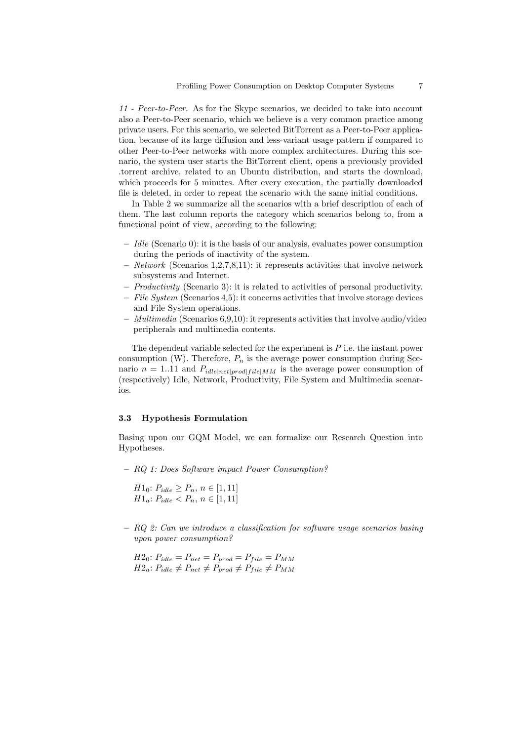11 - Peer-to-Peer. As for the Skype scenarios, we decided to take into account also a Peer-to-Peer scenario, which we believe is a very common practice among private users. For this scenario, we selected BitTorrent as a Peer-to-Peer application, because of its large diffusion and less-variant usage pattern if compared to other Peer-to-Peer networks with more complex architectures. During this scenario, the system user starts the BitTorrent client, opens a previously provided .torrent archive, related to an Ubuntu distribution, and starts the download, which proceeds for 5 minutes. After every execution, the partially downloaded file is deleted, in order to repeat the scenario with the same initial conditions.

In Table [2](#page-7-0) we summarize all the scenarios with a brief description of each of them. The last column reports the category which scenarios belong to, from a functional point of view, according to the following:

- $-$  *Idle* (Scenario 0): it is the basis of our analysis, evaluates power consumption during the periods of inactivity of the system.
- $-$  *Network* (Scenarios 1,2,7,8,11): it represents activities that involve network subsystems and Internet.
- Productivity (Scenario 3): it is related to activities of personal productivity.
- $-$  File System (Scenarios 4,5): it concerns activities that involve storage devices and File System operations.
- Multimedia (Scenarios 6,9,10): it represents activities that involve audio/video peripherals and multimedia contents.

The dependent variable selected for the experiment is  $P$  i.e. the instant power consumption (W). Therefore,  $P_n$  is the average power consumption during Scenario  $n = 1.11$  and  $P_{idle|net|prod|file|MM}$  is the average power consumption of (respectively) Idle, Network, Productivity, File System and Multimedia scenarios.

### 3.3 Hypothesis Formulation

Basing upon our GQM Model, we can formalize our Research Question into Hypotheses.

– RQ 1: Does Software impact Power Consumption?

 $H1_0: P_{idle} \geq P_n, n \in [1, 11]$  $H1_a: P_{idle} < P_n, n \in [1, 11]$ 

– RQ 2: Can we introduce a classification for software usage scenarios basing upon power consumption?

*H2<sub>0</sub>*: 
$$
P_{idle} = P_{net} = P_{prod} = P_{file} = P_{MM}
$$
  
*H2<sub>a</sub>*:  $P_{idle} \neq P_{net} \neq P_{prod} \neq P_{file} \neq P_{MM}$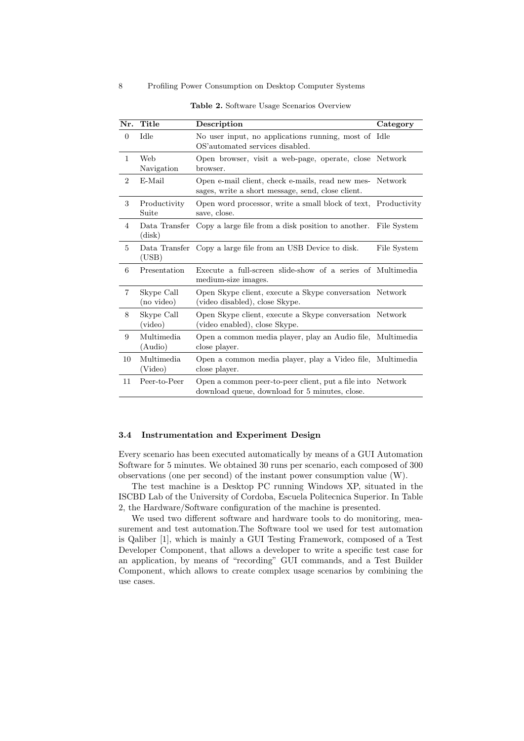| Nr.            | Title                    | Description                                                                                                   | Category    |
|----------------|--------------------------|---------------------------------------------------------------------------------------------------------------|-------------|
| $\theta$       | Idle                     | No user input, no applications running, most of Idle<br>OS'automated services disabled.                       |             |
| 1              | Web<br>Navigation        | Open browser, visit a web-page, operate, close Network<br>browser.                                            |             |
| $\overline{2}$ | E-Mail                   | Open e-mail client, check e-mails, read new mes- Network<br>sages, write a short message, send, close client. |             |
| 3              | Productivity<br>Suite    | Open word processor, write a small block of text, Productivity<br>save, close.                                |             |
| $\overline{4}$ | Data Transfer<br>(disk)  | Copy a large file from a disk position to another. File System                                                |             |
| 5              | (USB)                    | Data Transfer Copy a large file from an USB Device to disk.                                                   | File System |
| 6              | Presentation             | Execute a full-screen slide-show of a series of Multimedia<br>medium-size images.                             |             |
| 7              | Skype Call<br>(no video) | Open Skype client, execute a Skype conversation Network<br>(video disabled), close Skype.                     |             |
| 8              | Skype Call<br>(video)    | Open Skype client, execute a Skype conversation Network<br>(video enabled), close Skype.                      |             |
| 9              | Multimedia<br>(Audio)    | Open a common media player, play an Audio file, Multimedia<br>close player.                                   |             |
| 10             | Multimedia<br>(Video)    | Open a common media player, play a Video file, Multimedia<br>close player.                                    |             |
| 11             | Peer-to-Peer             | Open a common peer-to-peer client, put a file into<br>download queue, download for 5 minutes, close.          | Network     |

<span id="page-7-0"></span>Table 2. Software Usage Scenarios Overview

# 3.4 Instrumentation and Experiment Design

Every scenario has been executed automatically by means of a GUI Automation Software for 5 minutes. We obtained 30 runs per scenario, each composed of 300 observations (one per second) of the instant power consumption value (W).

The test machine is a Desktop PC running Windows XP, situated in the ISCBD Lab of the University of Cordoba, Escuela Politecnica Superior. In Table 2, the Hardware/Software configuration of the machine is presented.

We used two different software and hardware tools to do monitoring, measurement and test automation.The Software tool we used for test automation is Qaliber [\[1\]](#page-14-9), which is mainly a GUI Testing Framework, composed of a Test Developer Component, that allows a developer to write a specific test case for an application, by means of "recording" GUI commands, and a Test Builder Component, which allows to create complex usage scenarios by combining the use cases.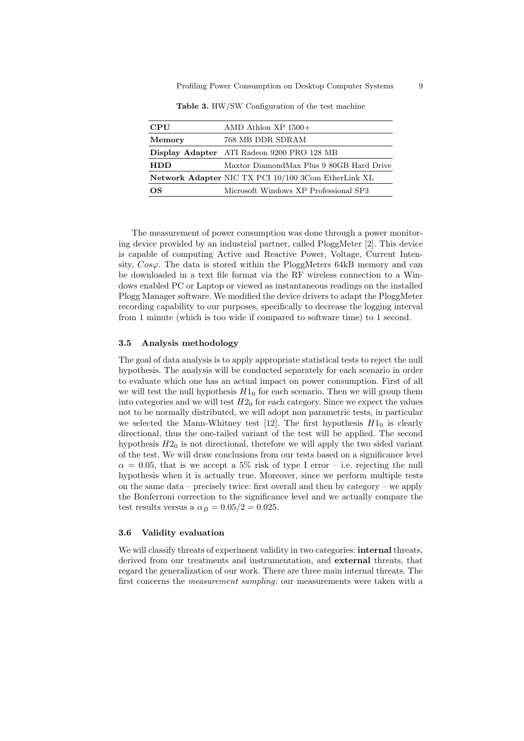| CPU        | AMD Athlon $XP$ 1500+                               |
|------------|-----------------------------------------------------|
| Memory     | 768 MB DDR SDRAM                                    |
|            | Display Adapter ATI Radeon 9200 PRO 128 MB          |
| <b>HDD</b> | Maxtor DiamondMax Plus 9 80GB Hard Drive            |
|            | Network Adapter NIC TX PCI 10/100 3Com EtherLink XL |
| <b>OS</b>  | Microsoft Windows XP Professional SP3               |
|            |                                                     |

Table 3. HW/SW Configuration of the test machine

The measurement of power consumption was done through a power monitoring device provided by an industrial partner, called PloggMeter [\[2\]](#page-14-10). This device is capable of computing Active and Reactive Power, Voltage, Current Intensity,  $Cos\varphi$ . The data is stored within the PloggMeters 64kB memory and can be downloaded in a text file format via the RF wireless connection to a Windows enabled PC or Laptop or viewed as instantaneous readings on the installed Plogg Manager software. We modified the device drivers to adapt the PloggMeter recording capability to our purposes, specifically to decrease the logging interval from 1 minute (which is too wide if compared to software time) to 1 second.

#### 3.5 Analysis methodology

The goal of data analysis is to apply appropriate statistical tests to reject the null hypothesis. The analysis will be conducted separately for each scenario in order to evaluate which one has an actual impact on power consumption. First of all we will test the null hypothesis  $H1_0$  for each scenario. Then we will group them into categories and we will test  $H2_0$  for each category. Since we expect the values not to be normally distributed, we will adopt non parametric tests, in particular we selected the Mann-Whitney test [\[12\]](#page-14-11). The first hypothesis  $H1_0$  is clearly directional, thus the one-tailed variant of the test will be applied. The second hypothesis  $H2_0$  is not directional, therefore we will apply the two sided variant of the test. We will draw conclusions from our tests based on a significance level  $\alpha = 0.05$ , that is we accept a 5% risk of type I error – i.e. rejecting the null hypothesis when it is actually true. Moreover, since we perform multiple tests on the same data – precisely twice: first overall and then by category – we apply the Bonferroni correction to the significance level and we actually compare the test results versus a  $\alpha_B = 0.05/2 = 0.025$ .

#### 3.6 Validity evaluation

We will classify threats of experiment validity in two categories: **internal** threats, derived from our treatments and instrumentation, and external threats, that regard the generalization of our work. There are three main internal threats. The first concerns the *measurement sampling*: our measurements were taken with a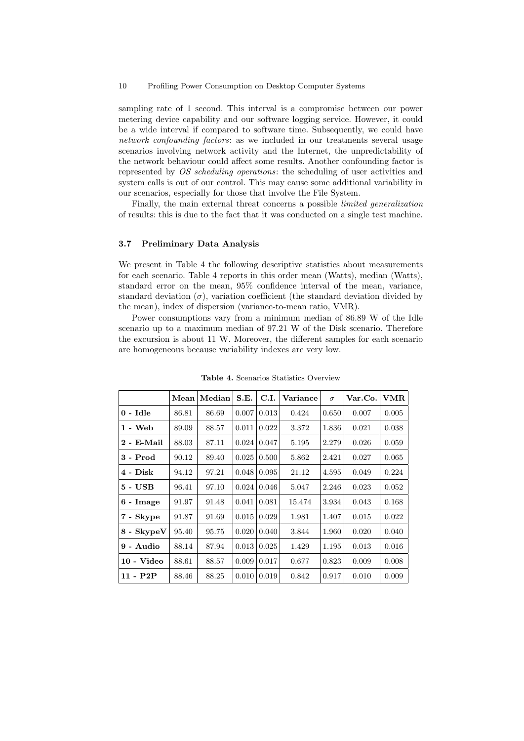sampling rate of 1 second. This interval is a compromise between our power metering device capability and our software logging service. However, it could be a wide interval if compared to software time. Subsequently, we could have network confounding factors: as we included in our treatments several usage scenarios involving network activity and the Internet, the unpredictability of the network behaviour could affect some results. Another confounding factor is represented by OS scheduling operations: the scheduling of user activities and system calls is out of our control. This may cause some additional variability in our scenarios, especially for those that involve the File System.

Finally, the main external threat concerns a possible *limited generalization* of results: this is due to the fact that it was conducted on a single test machine.

#### 3.7 Preliminary Data Analysis

We present in Table [4](#page-9-0) the following descriptive statistics about measurements for each scenario. Table [4](#page-9-0) reports in this order mean (Watts), median (Watts), standard error on the mean, 95% confidence interval of the mean, variance, standard deviation  $(\sigma)$ , variation coefficient (the standard deviation divided by the mean), index of dispersion (variance-to-mean ratio, VMR).

Power consumptions vary from a minimum median of 86.89 W of the Idle scenario up to a maximum median of 97.21 W of the Disk scenario. Therefore the excursion is about 11 W. Moreover, the different samples for each scenario are homogeneous because variability indexes are very low.

|               | Mean  | Median | S.E.  | C.I.  | Variance | $\sigma$ | Var.Co. | $_{\rm{VMR}}$ |
|---------------|-------|--------|-------|-------|----------|----------|---------|---------------|
| $0 -$ Idle    | 86.81 | 86.69  | 0.007 | 0.013 | 0.424    | 0.650    | 0.007   | 0.005         |
| $1 -$ Web     | 89.09 | 88.57  | 0.011 | 0.022 | 3.372    | 1.836    | 0.021   | 0.038         |
| $2 - E$ -Mail | 88.03 | 87.11  | 0.024 | 0.047 | 5.195    | 2.279    | 0.026   | 0.059         |
| 3 - Prod      | 90.12 | 89.40  | 0.025 | 0.500 | 5.862    | 2.421    | 0.027   | 0.065         |
| 4 - Disk      | 94.12 | 97.21  | 0.048 | 0.095 | 21.12    | 4.595    | 0.049   | 0.224         |
| 5 - USB       | 96.41 | 97.10  | 0.024 | 0.046 | 5.047    | 2.246    | 0.023   | 0.052         |
| 6 - Image     | 91.97 | 91.48  | 0.041 | 0.081 | 15.474   | 3.934    | 0.043   | 0.168         |
| 7 - Skype     | 91.87 | 91.69  | 0.015 | 0.029 | 1.981    | 1.407    | 0.015   | 0.022         |
| $8 - SkypeV$  | 95.40 | 95.75  | 0.020 | 0.040 | 3.844    | 1.960    | 0.020   | 0.040         |
| 9 - Audio     | 88.14 | 87.94  | 0.013 | 0.025 | 1.429    | 1.195    | 0.013   | 0.016         |
| 10 - Video    | 88.61 | 88.57  | 0.009 | 0.017 | 0.677    | 0.823    | 0.009   | 0.008         |
| 11 - P2P      | 88.46 | 88.25  | 0.010 | 0.019 | 0.842    | 0.917    | 0.010   | 0.009         |

<span id="page-9-0"></span>Table 4. Scenarios Statistics Overview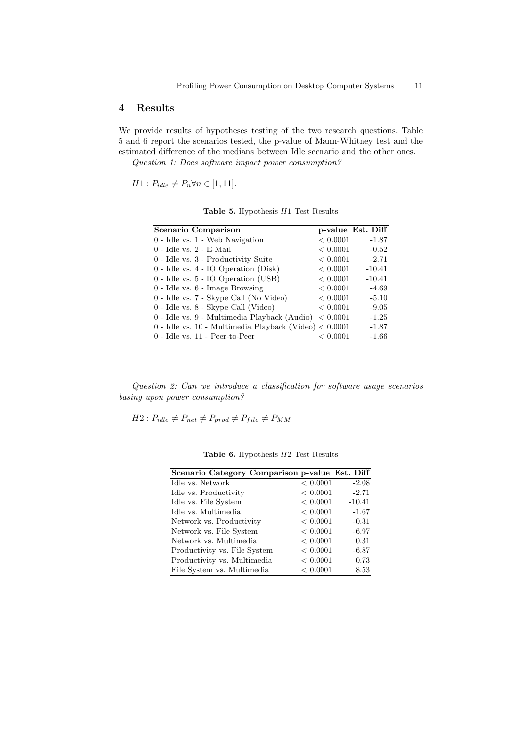### 4 Results

We provide results of hypotheses testing of the two research questions. Table [5](#page-10-0) and [6](#page-10-1) report the scenarios tested, the p-value of Mann-Whitney test and the estimated difference of the medians between Idle scenario and the other ones. Question 1: Does software impact power consumption?

 $H1: P_{idle} \neq P_n \forall n \in [1, 11].$ 

| Scenario Comparison                                      |          | p-value Est. Diff |
|----------------------------------------------------------|----------|-------------------|
| $0$ - Idle vs. 1 - Web Navigation                        | < 0.0001 | $-1.87$           |
| $0$ - Idle vs. $2$ - E-Mail                              | < 0.0001 | $-0.52$           |
| 0 - Idle vs. 3 - Productivity Suite                      | < 0.0001 | $-2.71$           |
| $0$ - Idle vs. 4 - IO Operation (Disk)                   | < 0.0001 | $-10.41$          |
| $0$ - Idle vs. $5$ - IO Operation (USB)                  | < 0.0001 | $-10.41$          |
| $0$ - Idle vs. $6$ - Image Browsing                      | < 0.0001 | $-4.69$           |
| 0 - Idle vs. 7 - Skype Call (No Video)                   | < 0.0001 | $-5.10$           |
| 0 - Idle vs. 8 - Skype Call (Video)                      | < 0.0001 | $-9.05$           |
| 0 - Idle vs. 9 - Multimedia Playback (Audio)             | < 0.0001 | $-1.25$           |
| 0 - Idle vs. 10 - Multimedia Playback (Video) $< 0.0001$ |          | $-1.87$           |
| $0$ - Idle vs. 11 - Peer-to-Peer                         | < 0.0001 | $-1.66$           |

<span id="page-10-0"></span>Table 5. Hypothesis H1 Test Results

Question 2: Can we introduce a classification for software usage scenarios basing upon power consumption?

 $H2: P_{idle} \neq P_{net} \neq P_{prod} \neq P_{file} \neq P_{MM}$ 

| Scenario Category Comparison p-value Est. Diff |          |          |
|------------------------------------------------|----------|----------|
| Idle vs. Network                               | < 0.0001 | $-2.08$  |
| Idle vs. Productivity                          | < 0.0001 | $-2.71$  |
| Idle vs. File System                           | < 0.0001 | $-10.41$ |
| Idle vs. Multimedia                            | < 0.0001 | $-1.67$  |
| Network vs. Productivity                       | < 0.0001 | $-0.31$  |
| Network vs. File System                        | < 0.0001 | $-6.97$  |
| Network vs. Multimedia                         | < 0.0001 | 0.31     |
| Productivity vs. File System                   | < 0.0001 | $-6.87$  |
| Productivity vs. Multimedia                    | < 0.0001 | 0.73     |
| File System vs. Multimedia                     | < 0.0001 | 8.53     |

<span id="page-10-1"></span>Table 6. Hypothesis H2 Test Results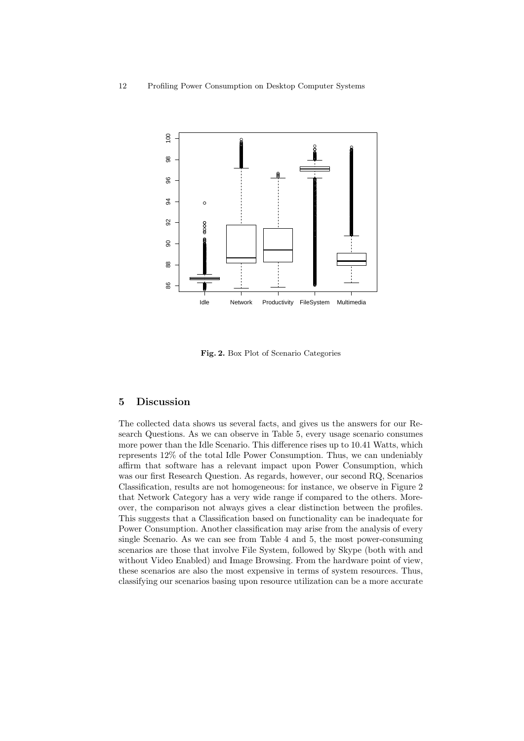

<span id="page-11-0"></span>Fig. 2. Box Plot of Scenario Categories

### 5 Discussion

The collected data shows us several facts, and gives us the answers for our Research Questions. As we can observe in Table [5,](#page-10-0) every usage scenario consumes more power than the Idle Scenario. This difference rises up to 10.41 Watts, which represents 12% of the total Idle Power Consumption. Thus, we can undeniably affirm that software has a relevant impact upon Power Consumption, which was our first Research Question. As regards, however, our second RQ, Scenarios Classification, results are not homogeneous: for instance, we observe in Figure [2](#page-11-0) that Network Category has a very wide range if compared to the others. Moreover, the comparison not always gives a clear distinction between the profiles. This suggests that a Classification based on functionality can be inadequate for Power Consumption. Another classification may arise from the analysis of every single Scenario. As we can see from Table [4](#page-9-0) and [5,](#page-10-0) the most power-consuming scenarios are those that involve File System, followed by Skype (both with and without Video Enabled) and Image Browsing. From the hardware point of view, these scenarios are also the most expensive in terms of system resources. Thus, classifying our scenarios basing upon resource utilization can be a more accurate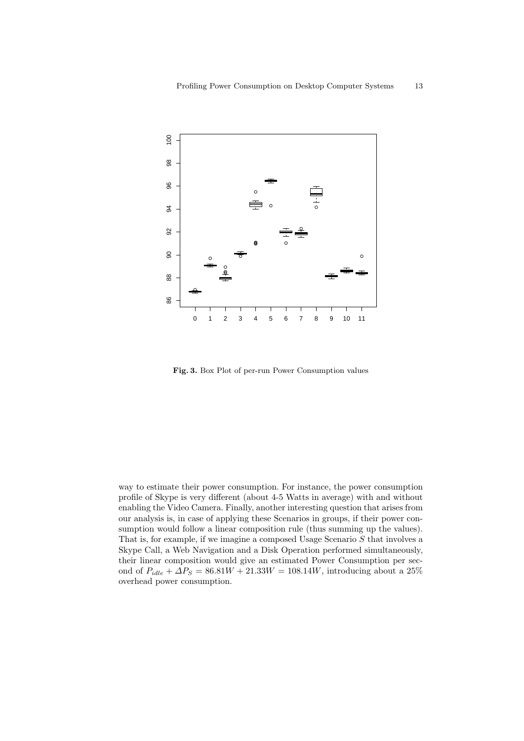

Fig. 3. Box Plot of per-run Power Consumption values

way to estimate their power consumption. For instance, the power consumption profile of Skype is very different (about 4-5 Watts in average) with and without enabling the Video Camera. Finally, another interesting question that arises from our analysis is, in case of applying these Scenarios in groups, if their power consumption would follow a linear composition rule (thus summing up the values). That is, for example, if we imagine a composed Usage Scenario S that involves a Skype Call, a Web Navigation and a Disk Operation performed simultaneously, their linear composition would give an estimated Power Consumption per second of  $P_{idle} + \Delta P_S = 86.81W + 21.33W = 108.14W,$  introducing about a  $25\%$ overhead power consumption.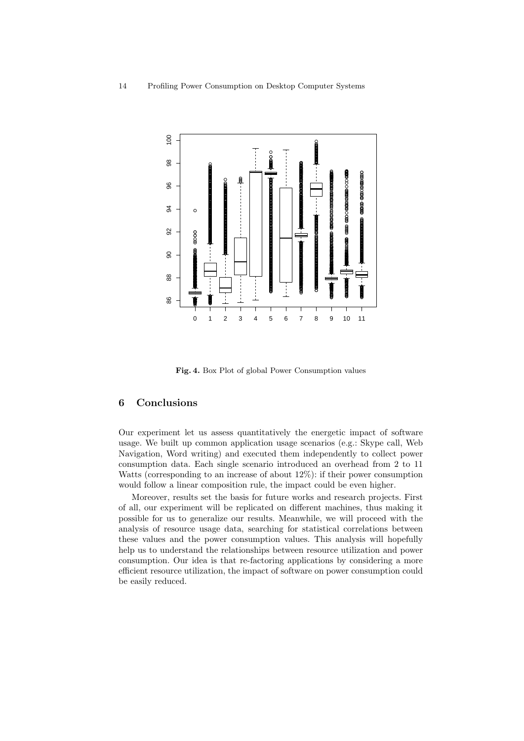

Fig. 4. Box Plot of global Power Consumption values

# 6 Conclusions

Our experiment let us assess quantitatively the energetic impact of software usage. We built up common application usage scenarios (e.g.: Skype call, Web Navigation, Word writing) and executed them independently to collect power consumption data. Each single scenario introduced an overhead from 2 to 11 Watts (corresponding to an increase of about 12%): if their power consumption would follow a linear composition rule, the impact could be even higher.

Moreover, results set the basis for future works and research projects. First of all, our experiment will be replicated on different machines, thus making it possible for us to generalize our results. Meanwhile, we will proceed with the analysis of resource usage data, searching for statistical correlations between these values and the power consumption values. This analysis will hopefully help us to understand the relationships between resource utilization and power consumption. Our idea is that re-factoring applications by considering a more efficient resource utilization, the impact of software on power consumption could be easily reduced.